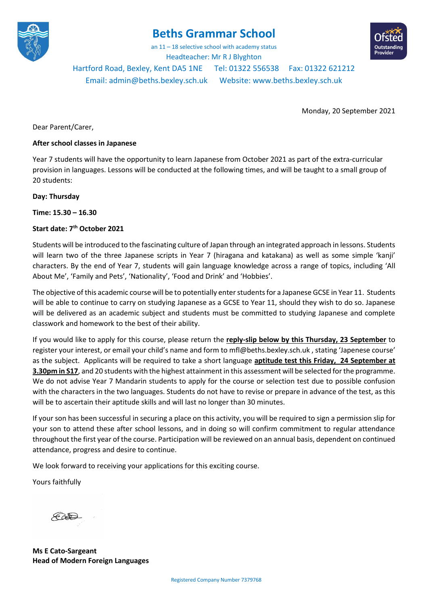

## **Beths Grammar School**

an 11 – 18 selective school with academy status Headteacher: Mr R J Blyghton



Hartford Road, Bexley, Kent DA5 1NE Tel: 01322 556538 Fax: 01322 621212 Email[: admin@beths.bexley.sch.uk](mailto:admin@beths.bexley.sch.uk) Website: [www.beths.bexley.sch.uk](http://www.beths.bexley.sch.uk/)

Monday, 20 September 2021

Dear Parent/Carer,

## **After school classes in Japanese**

Year 7 students will have the opportunity to learn Japanese from October 2021 as part of the extra-curricular provision in languages. Lessons will be conducted at the following times, and will be taught to a small group of 20 students:

## **Day: Thursday**

**Time: 15.30 – 16.30**

## **Start date: 7th October 2021**

Students will be introduced to the fascinating culture of Japan through an integrated approach in lessons. Students will learn two of the three Japanese scripts in Year 7 (hiragana and katakana) as well as some simple 'kanji' characters. By the end of Year 7, students will gain language knowledge across a range of topics, including 'All About Me', 'Family and Pets', 'Nationality', 'Food and Drink' and 'Hobbies'.

The objective of this academic course will be to potentially enter students for a Japanese GCSE in Year 11. Students will be able to continue to carry on studying Japanese as a GCSE to Year 11, should they wish to do so. Japanese will be delivered as an academic subject and students must be committed to studying Japanese and complete classwork and homework to the best of their ability.

If you would like to apply for this course, please return the **reply-slip below by this Thursday, 23 September** to register your interest, or email your child's name and form to mfl@beths.bexley.sch.uk , stating 'Japenese course' as the subject. Applicants will be required to take a short language **aptitude test this Friday, 24 September at 3.30pm in S17**, and 20 students with the highest attainment in this assessment will be selected for the programme. We do not advise Year 7 Mandarin students to apply for the course or selection test due to possible confusion with the characters in the two languages. Students do not have to revise or prepare in advance of the test, as this will be to ascertain their aptitude skills and will last no longer than 30 minutes.

If your son has been successful in securing a place on this activity, you will be required to sign a permission slip for your son to attend these after school lessons, and in doing so will confirm commitment to regular attendance throughout the first year of the course. Participation will be reviewed on an annual basis, dependent on continued attendance, progress and desire to continue.

We look forward to receiving your applications for this exciting course.

Yours faithfully

 $\mathscr{L}$ 

**Ms E Cato-Sargeant Head of Modern Foreign Languages**